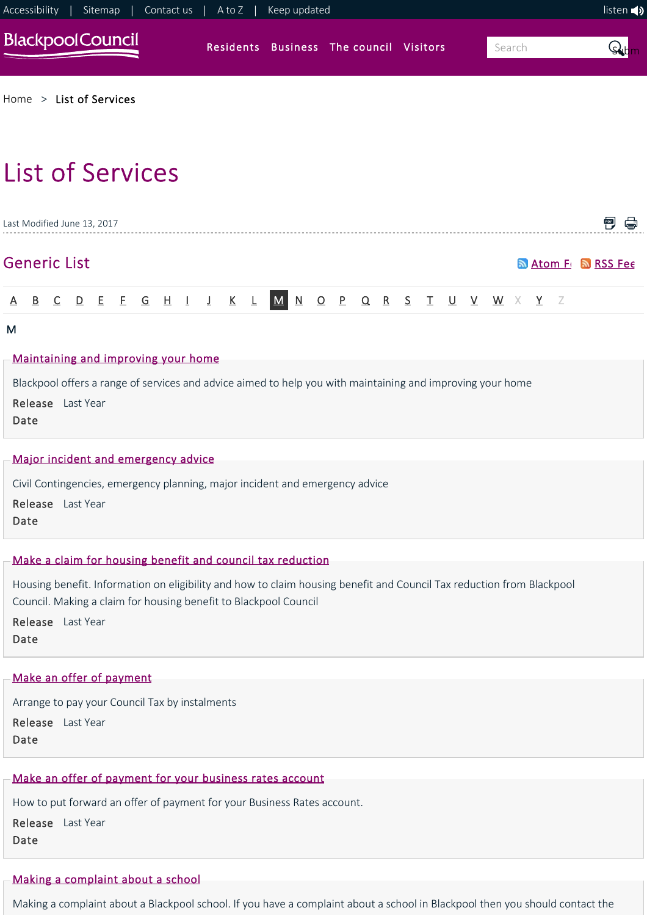

[Home](https://www.blackpool.gov.uk/Home.aspx) > [List of Services](https://www.blackpool.gov.uk/List-of-Services.aspx)

# List of Services

|                                     | Last Modified June 13, 2017                                                                                |  |  |  |  |  |  |  |  |  |  |                                                     |  |  |  |                     |  |  |  |  |  |  |  |  |
|-------------------------------------|------------------------------------------------------------------------------------------------------------|--|--|--|--|--|--|--|--|--|--|-----------------------------------------------------|--|--|--|---------------------|--|--|--|--|--|--|--|--|
|                                     | <b>Generic List</b>                                                                                        |  |  |  |  |  |  |  |  |  |  |                                                     |  |  |  | a Atom Fr a RSS Fee |  |  |  |  |  |  |  |  |
|                                     |                                                                                                            |  |  |  |  |  |  |  |  |  |  | A B C D E F G H I J K L M N O P Q R S T U V W X Y Z |  |  |  |                     |  |  |  |  |  |  |  |  |
| M                                   |                                                                                                            |  |  |  |  |  |  |  |  |  |  |                                                     |  |  |  |                     |  |  |  |  |  |  |  |  |
| Maintaining and improving your home |                                                                                                            |  |  |  |  |  |  |  |  |  |  |                                                     |  |  |  |                     |  |  |  |  |  |  |  |  |
|                                     | Blackpool offers a range of services and advice aimed to help you with maintaining and improving your home |  |  |  |  |  |  |  |  |  |  |                                                     |  |  |  |                     |  |  |  |  |  |  |  |  |
|                                     | <b>Release</b> Last Year                                                                                   |  |  |  |  |  |  |  |  |  |  |                                                     |  |  |  |                     |  |  |  |  |  |  |  |  |

Date

#### [Major incident and emergency advice](https://www.blackpool.gov.uk/Residents/Advice-and-support/Civil-contingencies-and-emergencies/Major-incident-and-emergency-advice.aspx)

Civil Contingencies, emergency planning, major incident and emergency advice

Release Last Year Date

# [Make a claim for housing benefit and council tax reduction](https://www.blackpool.gov.uk/Residents/Benefits/Make-a-claim-for-housing-benefit-and-council-tax-reduction.aspx)

Housing benefit. Information on eligibility and how to claim housing benefit and Council Tax reduction from Blackpool Council. Making a claim for housing benefit to Blackpool Council

Release Last Year Date

# [Make an offer of payment](https://www.blackpool.gov.uk/Residents/Council-tax/Make-an-offer-of-payment.aspx)

Arrange to pay your Council Tax by instalments Release Last Year Date

# [Make an offer of payment for your business rates account](https://www.blackpool.gov.uk/Business/Business-rates/Make-an-offer-of-payment-for-your-business-rates-account.aspx)

How to put forward an offer of payment for your Business Rates account.

Release Last Year Date

# [Making a complaint about a school](https://www.blackpool.gov.uk/Residents/Education-and-schools/Information-for-parents-and-carers/Making-a-complaint-about-a-school.aspx)

Making a complaint about a Blackpool school. If you have a complaint about a school in Blackpool then you should contact the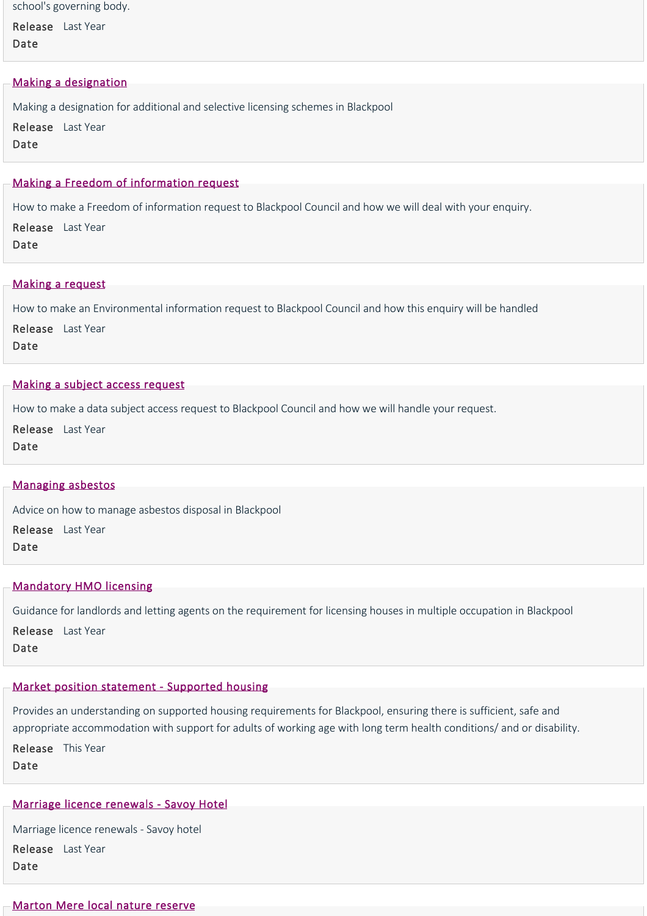school's governing body.

Release Last Year Date

#### [Making a designation](https://www.blackpool.gov.uk/Business/Licensing-and-permits/Housing-licences/Making-a-designation.aspx)

Making a designation for additional and selective licensing schemes in Blackpool Release Last Year Date

# [Making a Freedom of information request](https://www.blackpool.gov.uk/Your-Council/Transparency-and-open-data/Freedom-of-information/Making-a-Freedom-of-information-request.aspx)

How to make a Freedom of information request to Blackpool Council and how we will deal with your enquiry.

Release Last Year Date

### [Making a request](https://www.blackpool.gov.uk/Your-Council/Transparency-and-open-data/Environmental-information-regulations/Making-a-request.aspx)

How to make an Environmental information request to Blackpool Council and how this enquiry will be handled Release Last Year Date

#### [Making a subject access request](https://www.blackpool.gov.uk/Your-Council/Transparency-and-open-data/Data-protection/Making-a-subject-access-request.aspx)

How to make a data subject access request to Blackpool Council and how we will handle your request.

Release Last Year Date

# [Managing asbestos](https://www.blackpool.gov.uk/Residents/Waste-and-recycling/Tip-and-household-waste-recycling-centre/Managing-asbestos.aspx)

Advice on how to manage asbestos disposal in Blackpool Release Last Year Date

#### [Mandatory HMO licensing](https://www.blackpool.gov.uk/Business/Licensing-and-permits/Housing-licences/Mandatory-HMO-licensing.aspx)

Guidance for landlords and letting agents on the requirement for licensing houses in multiple occupation in Blackpool

Release Last Year Date

#### [Market position statement ‐ Supported housing](https://www.blackpool.gov.uk/Business/Residential-landlords/Supported-housing/Market-position-statement-Supported-housing.aspx)

Provides an understanding on supported housing requirements for Blackpool, ensuring there is sufficient, safe and appropriate accommodation with support for adults of working age with long term health conditions/ and or disability.

Release This Year Date

# [Marriage licence renewals ‐ Savoy Hotel](https://www.blackpool.gov.uk/Business/Licensing-and-permits/Marriage-and-civil-partnerships/Marriage-licence-renewals-Savoy-Hotel.aspx)

Marriage licence renewals ‐ Savoy hotel Release Last Year Date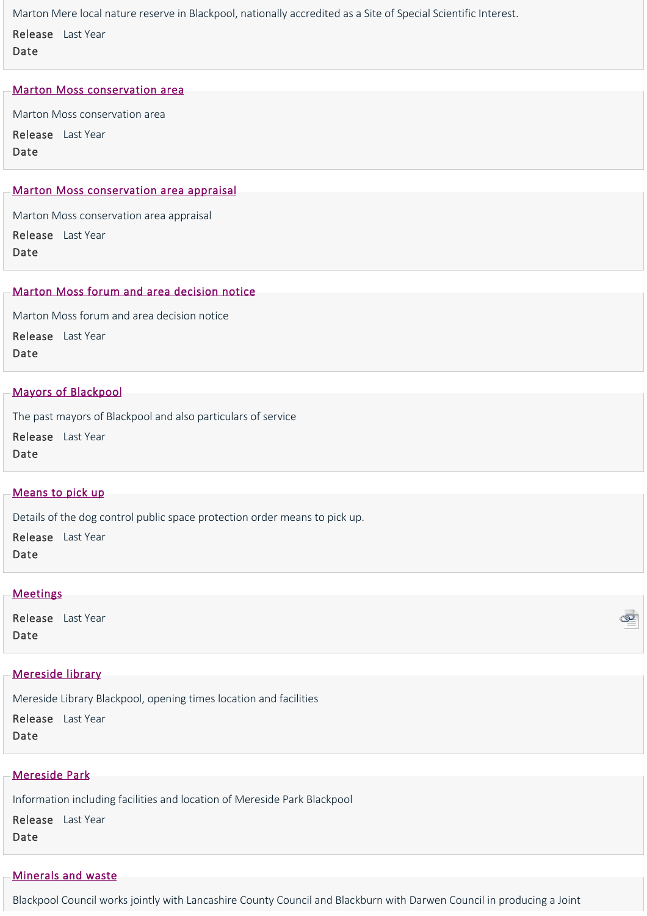Marton Mere local nature reserve in Blackpool, nationally accredited as a Site of Special Scientific Interest. Release Last Year Date

#### [Marton Moss conservation area](https://www.blackpool.gov.uk/Residents/Planning-environment-and-community/Planning/Conservation/Marton-Moss-conservation-area/Marton-Moss-conservation-area.aspx)

Marton Moss conservation area

Release Last Year Date

## [Marton Moss conservation area appraisal](https://www.blackpool.gov.uk/Residents/Planning-environment-and-community/Planning/Conservation/Marton-Moss-conservation-area/Marton-Moss-conservation-area-appraisal.aspx)

Marton Moss conservation area appraisal

Release Last Year Date

# [Marton Moss forum and area decision notice](https://www.blackpool.gov.uk/Residents/Planning-environment-and-community/Planning/Planning-policy/Marton-Moss-forum-and-area-decision-notice.aspx)

Marton Moss forum and area decision notice Release Last Year Date

#### [Mayors of Blackpool](https://www.blackpool.gov.uk/Your-Council/The-Council/The-Mayor/Mayors-of-Blackpool.aspx)

The past mayors of Blackpool and also particulars of service

Release Last Year Date

# [Means to pick up](https://www.blackpool.gov.uk/Residents/Planning-environment-and-community/Dogs/Means-to-pick-up.aspx)

Details of the dog control public space protection order means to pick up.

Release Last Year Date

# **[Meetings](http://democracy.blackpool.gov.uk/ieDocHome.aspx?bcr=1)**

Release Last Year Date

#### [Mereside library](https://www.blackpool.gov.uk/Residents/Libraries-arts-and-heritage/Libraries/Libraries-and-opening-times/Mereside-library.aspx)

Mereside Library Blackpool, opening times location and facilities Release Last Year Date

#### [Mereside Park](https://www.blackpool.gov.uk/Residents/Parks-and-community-facilities/Parks,-playgrounds-and-community-facilities/Mereside-Park.aspx)

Information including facilities and location of Mereside Park Blackpool

Release Last Year Date

# [Minerals and waste](https://www.blackpool.gov.uk/Residents/Planning-environment-and-community/Planning/Planning-policy/Minerals-and-waste.aspx)

Blackpool Council works jointly with Lancashire County Council and Blackburn with Darwen Council in producing a Joint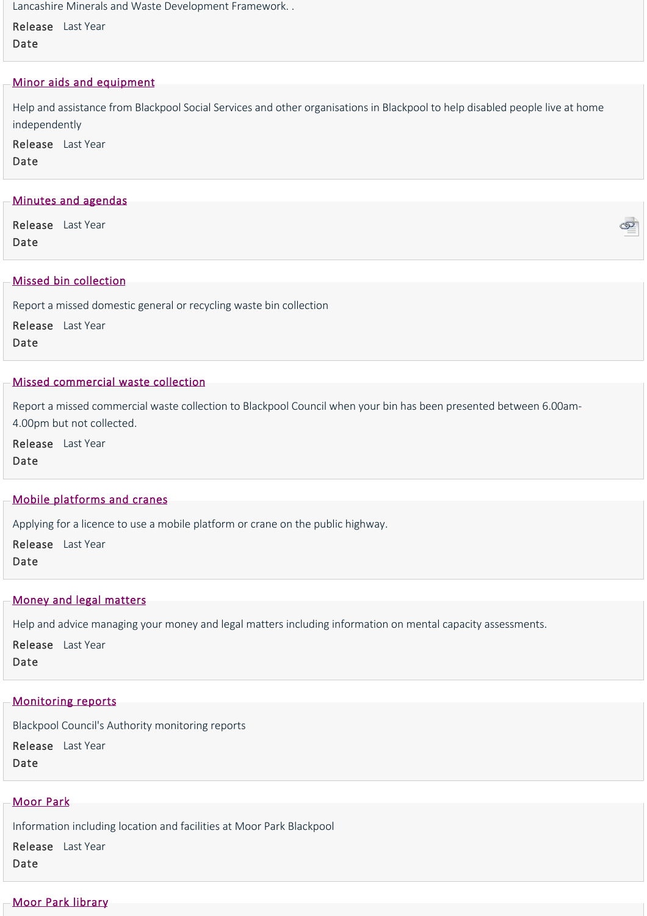Lancashire Minerals and Waste Development Framework. .

Release Last Year Date

# [Minor aids and equipment](https://www.blackpool.gov.uk/Residents/Housing/Support-in-your-own-home/Minor-aids-and-equipment.aspx)

Help and assistance from Blackpool Social Services and other organisations in Blackpool to help disabled people live at home independently

Release Last Year Date

# [Minutes and agendas](http://democracy.blackpool.gov.uk/ieDocSearch.aspx?bcr=1)

Release Last Year Date

# [Missed bin collection](https://www.blackpool.gov.uk/Residents/Waste-and-recycling/Bin-collections/Missed-bin-collection.aspx)

Report a missed domestic general or recycling waste bin collection

Release Last Year Date

# [Missed commercial waste collection](https://www.blackpool.gov.uk/Business/Commercial-waste/Missed-commercial-waste-collection.aspx)

Report a missed commercial waste collection to Blackpool Council when your bin has been presented between 6.00am‐ 4.00pm but not collected.

Release Last Year Date

# [Mobile platforms and cranes](https://www.blackpool.gov.uk/Business/Licensing-and-permits/Highways-licences-and-permits/Mobile-platforms-and-cranes.aspx)

Applying for a licence to use a mobile platform or crane on the public highway.

Release Last Year Date

# [Money and legal matters](https://www.blackpool.gov.uk/Residents/Health-and-social-care/Social-care-for-adults/Adult-social-services/Money-and-legal-matters.aspx)

Help and advice managing your money and legal matters including information on mental capacity assessments.

Release Last Year

# Date

#### [Monitoring reports](https://www.blackpool.gov.uk/Residents/Planning-environment-and-community/Planning/Planning-policy/Monitoring-reports.aspx)

Blackpool Council's Authority monitoring reports

Release Last Year Date

# [Moor Park](https://www.blackpool.gov.uk/Residents/Parks-and-community-facilities/Parks,-playgrounds-and-community-facilities/Moor-Park.aspx)

Information including location and facilities at Moor Park Blackpool Release Last Year

Date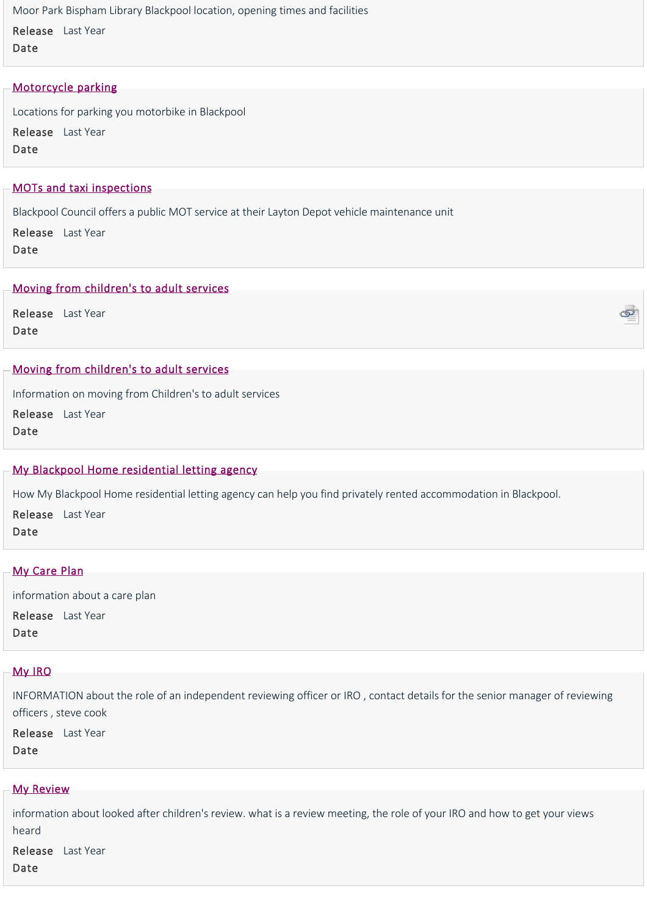Moor Park Bispham Library Blackpool location, opening times and facilities

Release Last Year Date

# [Motorcycle parking](https://www.blackpool.gov.uk/Residents/Parking-roads-and-transport/Parking/Motorcycle-parking.aspx)

Locations for parking you motorbike in Blackpool Release Last Year Date

# [MOTs and taxi inspections](https://www.blackpool.gov.uk/Residents/Parking-roads-and-transport/Transport/MOTs-and-taxi-inspections.aspx)

Blackpool Council offers a public MOT service at their Layton Depot vehicle maintenance unit

Release Last Year Date

# [Moving from children's to adult services](https://www.blackpool.gov.uk/Residents/Health-and-social-care/Children-and-families/Childrens-social-care/Moving-from-childrens-to-adult-services.aspx)

Release Last Year Date

# [Moving from children's to adult services](https://www.blackpool.gov.uk/Residents/Health-and-social-care/Children-and-families/Childrens-social-care/Moving-from-childrens-to-adult-services.aspx)

Information on moving from Children's to adult services

Release Last Year

Date

# [My Blackpool Home residential letting agency](https://www.blackpool.gov.uk/Residents/Housing/Finding-a-home/My-Blackpool-Home-residential-letting-agency.aspx)

How My Blackpool Home residential letting agency can help you find privately rented accommodation in Blackpool. Release Last Year Date

ග

# [My Care Plan](https://www.blackpool.gov.uk/Residents/Health-and-social-care/Children-and-families/JustUz/Your-review/My-Care-Plan.aspx)

information about a care plan Release Last Year Date

# [My IRO](https://www.blackpool.gov.uk/Residents/Health-and-social-care/Children-and-families/JustUz/Your-review/My-IRO.aspx)

INFORMATION about the role of an independent reviewing officer or IRO , contact details for the senior manager of reviewing officers , steve cook

Release Last Year Date

#### [My Review](https://www.blackpool.gov.uk/Residents/Health-and-social-care/Children-and-families/JustUz/Your-review/My-Review.aspx)

information about looked after children's review. what is a review meeting, the role of your IRO and how to get your views heard

Release Last YearDate